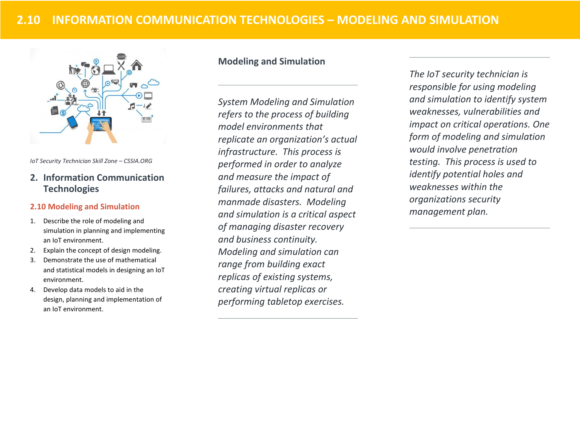

*IoT Security Technician Skill Zone – CSSIA.ORG*

# **2. Information Communication Technologies**

#### **2.10 Modeling and Simulation**

- 1. Describe the role of modeling and simulation in planning and implementing an IoT environment.
- 2. Explain the concept of design modeling.
- 3. Demonstrate the use of mathematical and statistical models in designing an IoT environment.
- 4. Develop data models to aid in the design, planning and implementation of an IoT environment.

## **Modeling and Simulation**

*System Modeling and Simulation refers to the process of building model environments that replicate an organization's actual infrastructure. This process is performed in order to analyze and measure the impact of failures, attacks and natural and manmade disasters. Modeling and simulation is a critical aspect of managing disaster recovery and business continuity. Modeling and simulation can range from building exact replicas of existing systems, creating virtual replicas or performing tabletop exercises.* 

*The IoT security technician is responsible for using modeling and simulation to identify system weaknesses, vulnerabilities and impact on critical operations. One form of modeling and simulation would involve penetration testing. This process is used to identify potential holes and weaknesses within the organizations security management plan.*